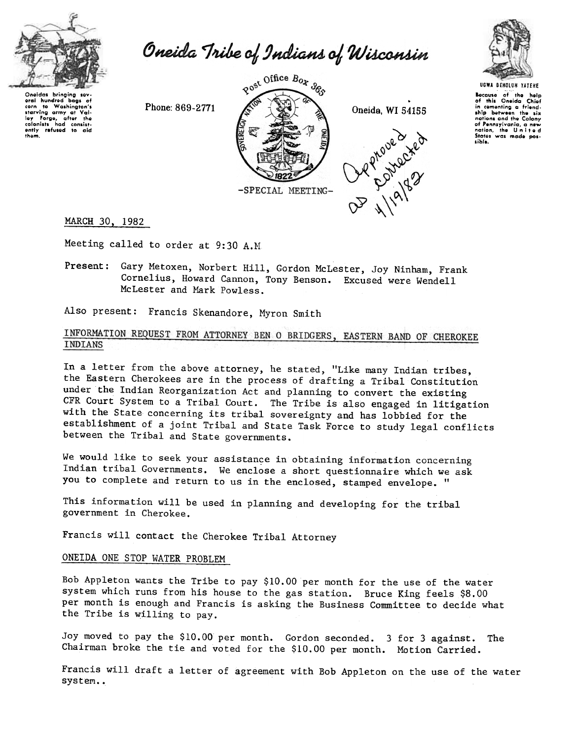

Oneida Tribe of Indians of Wisconsin

Onoldas bringing sov.<br>oral hundrod bags o oral hundred bags of<br>starving army at Val-<br>starving army at Val-<br>lay Forgo, after the<br>colonists had consist-<br>ently refused to aic thgm.



.





UGWA DEHOLUN YATEHE IocQUSO of tho holp of this Oneida Chiof in comentin; a friend-ship between the six nations ond the Colony of Pennsylvania, a new<br>nation, the Unite c<br>States was made pos: sible.

## MARCH 30, 1982

Meeting called to order at 9:30 A.M

Present: Gary Metoxen, Norbert Hill, Gordon McLester, Joy Ninham, Frank Cornelius, Howard Cannon, Tony Benson. Excused were Wendell McLester and Mark Powless.

Also present: Francis Skenandore, Myron Smith

# INFORMATION REQUEST FROM ATTORNEY BEN O BRIDGERS, EASTERN BAND OF CHEROKEE INDIANS

In a letter from the above attorney, he stated, "Like many Indian tribes, the Eastern Cherokees are in the process of drafting a Tribal Constitution under the Indian Reorganization Act and planning to convert the existing CFR Court System to a Tribal Court. The Tribe is also engaged in litigation with the State concerning its tribal sovereignty and has lobbied for the establishment of a joint Tribal and State Task Force to study legal conflicts between the Tribal and State governments.

We would like to seek your assistance in obtaining information concerning Indian tribal Governments. We enclose a short questionnaire which we ask you to complete and return to us in the enclosed, stamped envelope. "

This information will be used in planning and developing for the tribal government in Cherokee.

Francis will contact the Cherokee Tribal Attorney

## ONEIDA ONE STOP WATER PROBLEM

Bob Appleton wants the Tribe to pay \$10.00 per month for the use of the water system which runs from his house to the gas station. Bruce King feels \$8.00 per month is enough and Francis is asking the Business Committee to decide what the Tribe is willing to pay.

Joy moved to pay the \$10.00 per month. Gordon seconded. 3 for 3 agains Chairman broke the tie and voted for the \$10.00 per month. Motion Carried The

Francis will draft a letter of agreement with Bob Appleton on the use of the water system..